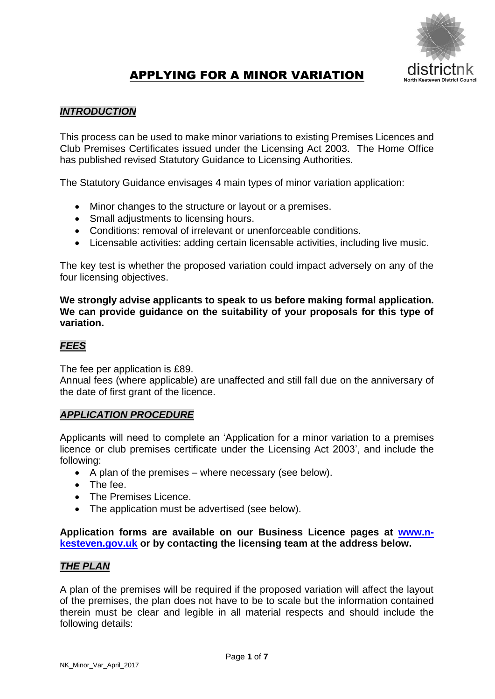

# APPLYING FOR A MINOR VARIATION

### *INTRODUCTION*

This process can be used to make minor variations to existing Premises Licences and Club Premises Certificates issued under the Licensing Act 2003. The Home Office has published revised Statutory Guidance to Licensing Authorities.

The Statutory Guidance envisages 4 main types of minor variation application:

- Minor changes to the structure or layout or a premises.
- Small adjustments to licensing hours.
- Conditions: removal of irrelevant or unenforceable conditions.
- Licensable activities: adding certain licensable activities, including live music.

The key test is whether the proposed variation could impact adversely on any of the four licensing objectives.

**We strongly advise applicants to speak to us before making formal application. We can provide guidance on the suitability of your proposals for this type of variation.**

#### *FEES*

The fee per application is £89.

Annual fees (where applicable) are unaffected and still fall due on the anniversary of the date of first grant of the licence.

#### *APPLICATION PROCEDURE*

Applicants will need to complete an 'Application for a minor variation to a premises licence or club premises certificate under the Licensing Act 2003', and include the following:

- $\bullet$  A plan of the premises where necessary (see below).
- The fee.
- The Premises Licence.
- The application must be advertised (see below).

#### **Application forms are available on our Business Licence pages at [www.n](http://www.n-kesteven.gov.uk/)[kesteven.gov.uk](http://www.n-kesteven.gov.uk/) or by contacting the licensing team at the address below.**

#### *THE PLAN*

A plan of the premises will be required if the proposed variation will affect the layout of the premises, the plan does not have to be to scale but the information contained therein must be clear and legible in all material respects and should include the following details: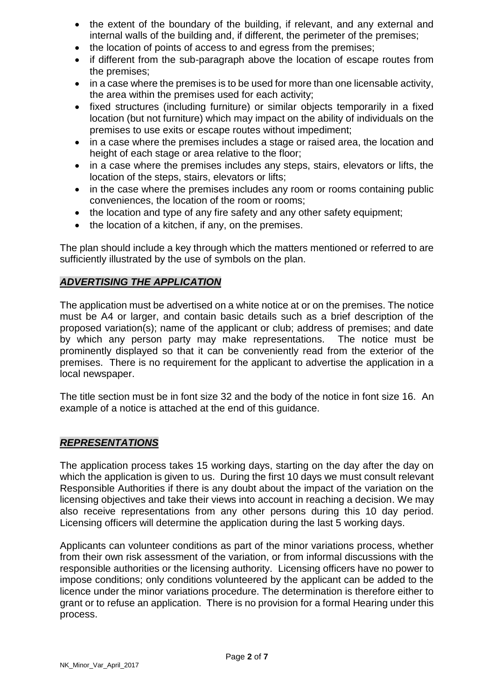- the extent of the boundary of the building, if relevant, and any external and internal walls of the building and, if different, the perimeter of the premises;
- the location of points of access to and egress from the premises;
- if different from the sub-paragraph above the location of escape routes from the premises;
- in a case where the premises is to be used for more than one licensable activity, the area within the premises used for each activity;
- fixed structures (including furniture) or similar objects temporarily in a fixed location (but not furniture) which may impact on the ability of individuals on the premises to use exits or escape routes without impediment;
- in a case where the premises includes a stage or raised area, the location and height of each stage or area relative to the floor;
- in a case where the premises includes any steps, stairs, elevators or lifts, the location of the steps, stairs, elevators or lifts;
- in the case where the premises includes any room or rooms containing public conveniences, the location of the room or rooms;
- the location and type of any fire safety and any other safety equipment;
- $\bullet$  the location of a kitchen, if any, on the premises.

The plan should include a key through which the matters mentioned or referred to are sufficiently illustrated by the use of symbols on the plan.

#### *ADVERTISING THE APPLICATION*

The application must be advertised on a white notice at or on the premises. The notice must be A4 or larger, and contain basic details such as a brief description of the proposed variation(s); name of the applicant or club; address of premises; and date by which any person party may make representations. The notice must be prominently displayed so that it can be conveniently read from the exterior of the premises. There is no requirement for the applicant to advertise the application in a local newspaper.

The title section must be in font size 32 and the body of the notice in font size 16. An example of a notice is attached at the end of this guidance.

#### *REPRESENTATIONS*

The application process takes 15 working days, starting on the day after the day on which the application is given to us. During the first 10 days we must consult relevant Responsible Authorities if there is any doubt about the impact of the variation on the licensing objectives and take their views into account in reaching a decision. We may also receive representations from any other persons during this 10 day period. Licensing officers will determine the application during the last 5 working days.

Applicants can volunteer conditions as part of the minor variations process, whether from their own risk assessment of the variation, or from informal discussions with the responsible authorities or the licensing authority. Licensing officers have no power to impose conditions; only conditions volunteered by the applicant can be added to the licence under the minor variations procedure. The determination is therefore either to grant or to refuse an application. There is no provision for a formal Hearing under this process.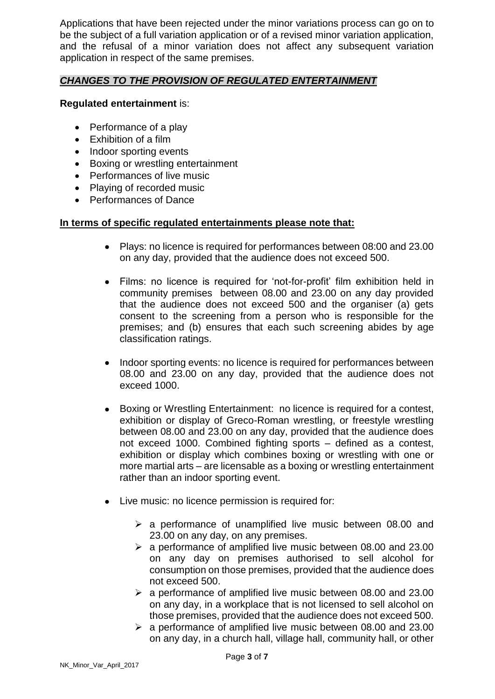Applications that have been rejected under the minor variations process can go on to be the subject of a full variation application or of a revised minor variation application, and the refusal of a minor variation does not affect any subsequent variation application in respect of the same premises.

#### *CHANGES TO THE PROVISION OF REGULATED ENTERTAINMENT*

#### **Regulated entertainment** is:

- Performance of a play
- Exhibition of a film
- Indoor sporting events
- Boxing or wrestling entertainment
- Performances of live music
- Playing of recorded music
- Performances of Dance

#### **In terms of specific regulated entertainments please note that:**

- Plays: no licence is required for performances between 08:00 and 23.00 on any day, provided that the audience does not exceed 500.
- Films: no licence is required for 'not-for-profit' film exhibition held in community premises between 08.00 and 23.00 on any day provided that the audience does not exceed 500 and the organiser (a) gets consent to the screening from a person who is responsible for the premises; and (b) ensures that each such screening abides by age classification ratings.
- Indoor sporting events: no licence is required for performances between 08.00 and 23.00 on any day, provided that the audience does not exceed 1000.
- Boxing or Wrestling Entertainment: no licence is required for a contest, exhibition or display of Greco-Roman wrestling, or freestyle wrestling between 08.00 and 23.00 on any day, provided that the audience does not exceed 1000. Combined fighting sports – defined as a contest, exhibition or display which combines boxing or wrestling with one or more martial arts – are licensable as a boxing or wrestling entertainment rather than an indoor sporting event.
- Live music: no licence permission is required for:
	- $\triangleright$  a performance of unamplified live music between 08.00 and 23.00 on any day, on any premises.
	- $\geq$  a performance of amplified live music between 08.00 and 23.00 on any day on premises authorised to sell alcohol for consumption on those premises, provided that the audience does not exceed 500.
	- $\geq$  a performance of amplified live music between 08.00 and 23.00 on any day, in a workplace that is not licensed to sell alcohol on those premises, provided that the audience does not exceed 500.
	- $\geq$  a performance of amplified live music between 08.00 and 23.00 on any day, in a church hall, village hall, community hall, or other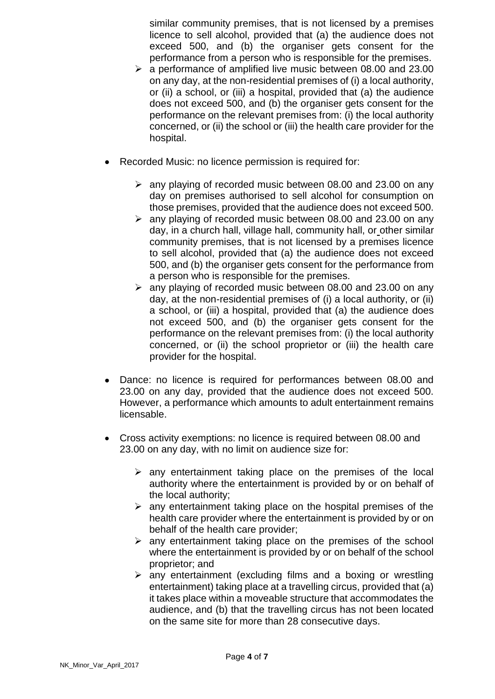similar community premises, that is not licensed by a premises licence to sell alcohol, provided that (a) the audience does not exceed 500, and (b) the organiser gets consent for the performance from a person who is responsible for the premises.

- $\geq$  a performance of amplified live music between 08.00 and 23.00 on any day, at the non-residential premises of (i) a local authority, or (ii) a school, or (iii) a hospital, provided that (a) the audience does not exceed 500, and (b) the organiser gets consent for the performance on the relevant premises from: (i) the local authority concerned, or (ii) the school or (iii) the health care provider for the hospital.
- Recorded Music: no licence permission is required for:
	- $\geq$  any playing of recorded music between 08.00 and 23.00 on any day on premises authorised to sell alcohol for consumption on those premises, provided that the audience does not exceed 500.
	- $\ge$  any playing of recorded music between 08.00 and 23.00 on any day, in a church hall, village hall, community hall, or other similar community premises, that is not licensed by a premises licence to sell alcohol, provided that (a) the audience does not exceed 500, and (b) the organiser gets consent for the performance from a person who is responsible for the premises.
	- $\geq$  any playing of recorded music between 08.00 and 23.00 on any day, at the non-residential premises of (i) a local authority, or (ii) a school, or (iii) a hospital, provided that (a) the audience does not exceed 500, and (b) the organiser gets consent for the performance on the relevant premises from: (i) the local authority concerned, or (ii) the school proprietor or (iii) the health care provider for the hospital.
- Dance: no licence is required for performances between 08.00 and 23.00 on any day, provided that the audience does not exceed 500. However, a performance which amounts to adult entertainment remains licensable.
- Cross activity exemptions: no licence is required between 08.00 and 23.00 on any day, with no limit on audience size for:
	- $\triangleright$  any entertainment taking place on the premises of the local authority where the entertainment is provided by or on behalf of the local authority;
	- $\triangleright$  any entertainment taking place on the hospital premises of the health care provider where the entertainment is provided by or on behalf of the health care provider;
	- $\triangleright$  any entertainment taking place on the premises of the school where the entertainment is provided by or on behalf of the school proprietor; and
	- $\triangleright$  any entertainment (excluding films and a boxing or wrestling entertainment) taking place at a travelling circus, provided that (a) it takes place within a moveable structure that accommodates the audience, and (b) that the travelling circus has not been located on the same site for more than 28 consecutive days.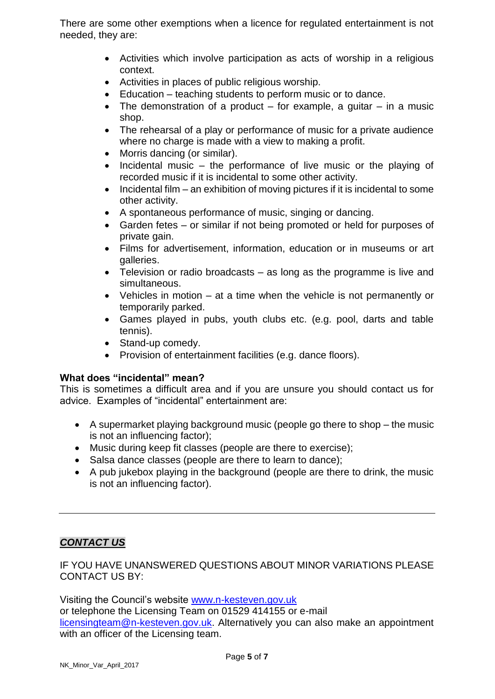There are some other exemptions when a licence for regulated entertainment is not needed, they are:

- Activities which involve participation as acts of worship in a religious context.
- Activities in places of public religious worship.
- Education teaching students to perform music or to dance.
- The demonstration of a product  $-$  for example, a quitar  $-$  in a music shop.
- The rehearsal of a play or performance of music for a private audience where no charge is made with a view to making a profit.
- Morris dancing (or similar).
- $\bullet$  Incidental music the performance of live music or the playing of recorded music if it is incidental to some other activity.
- $\bullet$  Incidental film an exhibition of moving pictures if it is incidental to some other activity.
- A spontaneous performance of music, singing or dancing.
- Garden fetes or similar if not being promoted or held for purposes of private gain.
- Films for advertisement, information, education or in museums or art galleries.
- Television or radio broadcasts as long as the programme is live and simultaneous.
- Vehicles in motion at a time when the vehicle is not permanently or temporarily parked.
- Games played in pubs, youth clubs etc. (e.g. pool, darts and table tennis).
- Stand-up comedy.
- Provision of entertainment facilities (e.g. dance floors).

#### **What does "incidental" mean?**

This is sometimes a difficult area and if you are unsure you should contact us for advice. Examples of "incidental" entertainment are:

- A supermarket playing background music (people go there to shop the music is not an influencing factor);
- Music during keep fit classes (people are there to exercise);
- Salsa dance classes (people are there to learn to dance);
- A pub jukebox playing in the background (people are there to drink, the music is not an influencing factor).

## *CONTACT US*

#### IF YOU HAVE UNANSWERED QUESTIONS ABOUT MINOR VARIATIONS PLEASE CONTACT US BY:

Visiting the Council's website [www.n-kesteven.gov.uk](http://www.n-kesteven.gov.uk/) or telephone the Licensing Team on 01529 414155 or e-mail [licensingteam@n-kesteven.gov.uk.](mailto:licensingteam@n-kesteven.gov.uk) Alternatively you can also make an appointment with an officer of the Licensing team.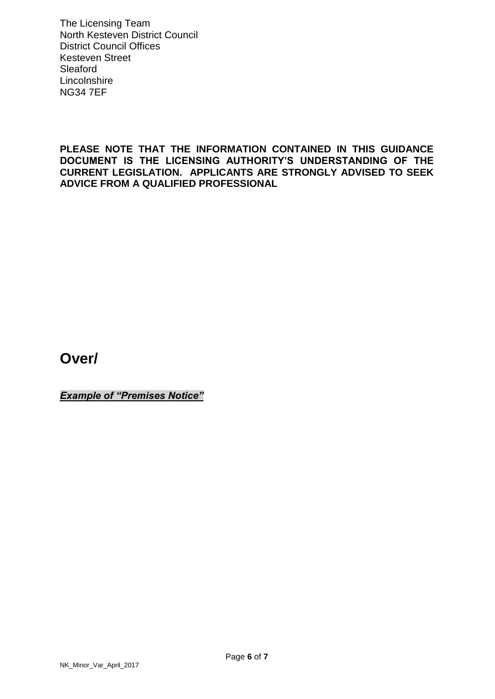The Licensing Team North Kesteven District Council District Council Offices Kesteven Street Sleaford **Lincolnshire** NG34 7EF

**PLEASE NOTE THAT THE INFORMATION CONTAINED IN THIS GUIDANCE DOCUMENT IS THE LICENSING AUTHORITY'S UNDERSTANDING OF THE CURRENT LEGISLATION. APPLICANTS ARE STRONGLY ADVISED TO SEEK ADVICE FROM A QUALIFIED PROFESSIONAL**

**Over/**

*Example of "Premises Notice"*